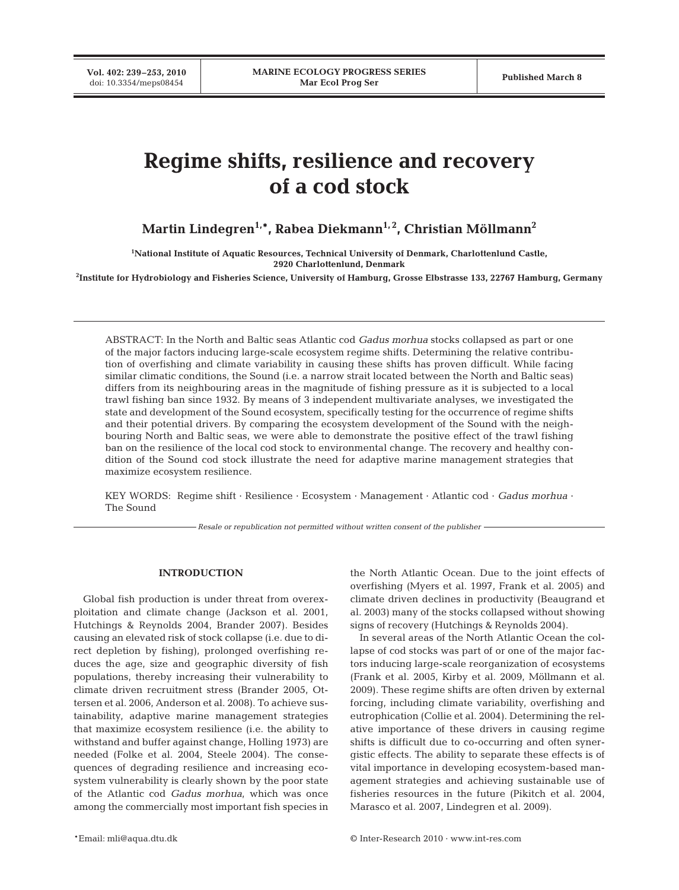**Vol. 402: 239–253, 2010**

# **Regime shifts, resilience and recovery of a cod stock**

Martin Lindegren<sup>1,\*</sup>, Rabea Diekmann<sup>1,2</sup>, Christian Möllmann<sup>2</sup>

**1 National Institute of Aquatic Resources, Technical University of Denmark, Charlottenlund Castle, 2920 Charlottenlund, Denmark**

**2 Institute for Hydrobiology and Fisheries Science, University of Hamburg, Grosse Elbstrasse 133, 22767 Hamburg, Germany**

ABSTRACT: In the North and Baltic seas Atlantic cod *Gadus morhua* stocks collapsed as part or one of the major factors inducing large-scale ecosystem regime shifts. Determining the relative contribution of overfishing and climate variability in causing these shifts has proven difficult. While facing similar climatic conditions, the Sound (i.e. a narrow strait located between the North and Baltic seas) differs from its neighbouring areas in the magnitude of fishing pressure as it is subjected to a local trawl fishing ban since 1932. By means of 3 independent multivariate analyses, we investigated the state and development of the Sound ecosystem, specifically testing for the occurrence of regime shifts and their potential drivers. By comparing the ecosystem development of the Sound with the neighbouring North and Baltic seas, we were able to demonstrate the positive effect of the trawl fishing ban on the resilience of the local cod stock to environmental change. The recovery and healthy condition of the Sound cod stock illustrate the need for adaptive marine management strategies that maximize ecosystem resilience.

KEY WORDS: Regime shift · Resilience · Ecosystem · Management · Atlantic cod · *Gadus morhua* · The Sound

*Resale or republication not permitted without written consent of the publisher*

### **INTRODUCTION**

Global fish production is under threat from overexploitation and climate change (Jackson et al. 2001, Hutchings & Reynolds 2004, Brander 2007). Besides causing an elevated risk of stock collapse (i.e. due to direct depletion by fishing), prolonged overfishing reduces the age, size and geographic diversity of fish populations, thereby increasing their vulnerability to climate driven recruitment stress (Brander 2005, Ottersen et al. 2006, Anderson et al. 2008). To achieve sustainability, adaptive marine management strategies that maximize ecosystem resilience (i.e. the ability to withstand and buffer against change, Holling 1973) are needed (Folke et al. 2004, Steele 2004). The consequences of degrading resilience and increasing ecosystem vulnerability is clearly shown by the poor state of the Atlantic cod *Gadus morhua*, which was once among the commercially most important fish species in the North Atlantic Ocean. Due to the joint effects of overfishing (Myers et al. 1997, Frank et al. 2005) and climate driven declines in productivity (Beaugrand et al. 2003) many of the stocks collapsed without showing signs of recovery (Hutchings & Reynolds 2004).

In several areas of the North Atlantic Ocean the collapse of cod stocks was part of or one of the major factors inducing large-scale reorganization of ecosystems (Frank et al. 2005, Kirby et al. 2009, Möllmann et al. 2009). These regime shifts are often driven by external forcing, including climate variability, overfishing and eutrophication (Collie et al. 2004). Determining the relative importance of these drivers in causing regime shifts is difficult due to co-occurring and often synergistic effects. The ability to separate these effects is of vital importance in developing ecosystem-based management strategies and achieving sustainable use of fisheries resources in the future (Pikitch et al. 2004, Marasco et al. 2007, Lindegren et al. 2009).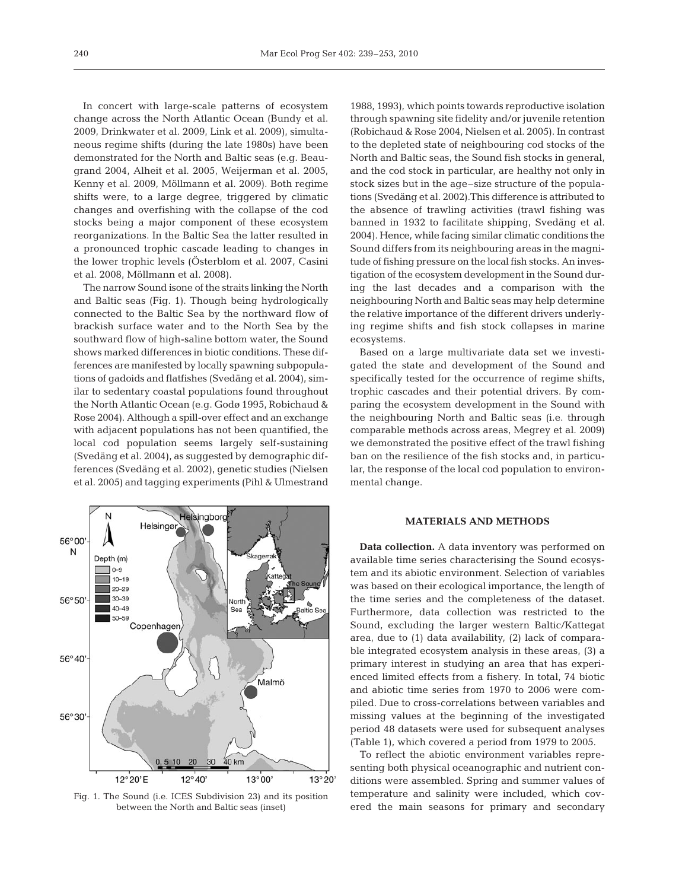In concert with large-scale patterns of ecosystem change across the North Atlantic Ocean (Bundy et al. 2009, Drinkwater et al. 2009, Link et al. 2009), simultaneous regime shifts (during the late 1980s) have been demonstrated for the North and Baltic seas (e.g. Beaugrand 2004, Alheit et al. 2005, Weijerman et al. 2005, Kenny et al. 2009, Möllmann et al. 2009). Both regime shifts were, to a large degree, triggered by climatic changes and overfishing with the collapse of the cod stocks being a major component of these ecosystem reorganizations. In the Baltic Sea the latter resulted in a pronounced trophic cascade leading to changes in the lower trophic levels (Österblom et al. 2007, Casini et al. 2008, Möllmann et al. 2008).

The narrow Sound isone of the straits linking the North and Baltic seas (Fig. 1). Though being hydrologically connected to the Baltic Sea by the northward flow of brackish surface water and to the North Sea by the southward flow of high-saline bottom water, the Sound shows marked differences in biotic conditions. These differences are manifested by locally spawning subpopulations of gadoids and flatfishes (Svedäng et al. 2004), similar to sedentary coastal populations found throughout the North Atlantic Ocean (e.g. Godø 1995, Robichaud & Rose 2004). Although a spill-over effect and an exchange with adjacent populations has not been quantified, the local cod population seems largely self-sustaining (Svedäng et al. 2004), as suggested by demographic differences (Svedäng et al. 2002), genetic studies (Nielsen et al. 2005) and tagging experiments (Pihl & Ulmestrand



Fig. 1. The Sound (i.e. ICES Subdivision 23) and its position between the North and Baltic seas (inset)

1988, 1993), which points towards reproductive isolation through spawning site fidelity and/or juvenile retention (Robichaud & Rose 2004, Nielsen et al. 2005). In contrast to the depleted state of neighbouring cod stocks of the North and Baltic seas, the Sound fish stocks in general, and the cod stock in particular, are healthy not only in stock sizes but in the age–size structure of the populations (Svedäng et al. 2002).This difference is attributed to the absence of trawling activities (trawl fishing was banned in 1932 to facilitate shipping, Svedäng et al. 2004). Hence, while facing similar climatic conditions the Sound differs from its neighbouring areas in the magnitude of fishing pressure on the local fish stocks. An investigation of the ecosystem development in the Sound during the last decades and a comparison with the neighbouring North and Baltic seas may help determine the relative importance of the different drivers underlying regime shifts and fish stock collapses in marine ecosystems.

Based on a large multivariate data set we investigated the state and development of the Sound and specifically tested for the occurrence of regime shifts, trophic cascades and their potential drivers. By comparing the ecosystem development in the Sound with the neighbouring North and Baltic seas (i.e. through comparable methods across areas, Megrey et al. 2009) we demonstrated the positive effect of the trawl fishing ban on the resilience of the fish stocks and, in particular, the response of the local cod population to environmental change.

### **MATERIALS AND METHODS**

**Data collection.** A data inventory was performed on available time series characterising the Sound ecosystem and its abiotic environment. Selection of variables was based on their ecological importance, the length of the time series and the completeness of the dataset. Furthermore, data collection was restricted to the Sound, excluding the larger western Baltic/Kattegat area, due to (1) data availability, (2) lack of comparable integrated ecosystem analysis in these areas, (3) a primary interest in studying an area that has experienced limited effects from a fishery. In total, 74 biotic and abiotic time series from 1970 to 2006 were compiled. Due to cross-correlations between variables and missing values at the beginning of the investigated period 48 datasets were used for subsequent analyses (Table 1), which covered a period from 1979 to 2005.

To reflect the abiotic environment variables representing both physical oceanographic and nutrient conditions were assembled. Spring and summer values of temperature and salinity were included, which covered the main seasons for primary and secondary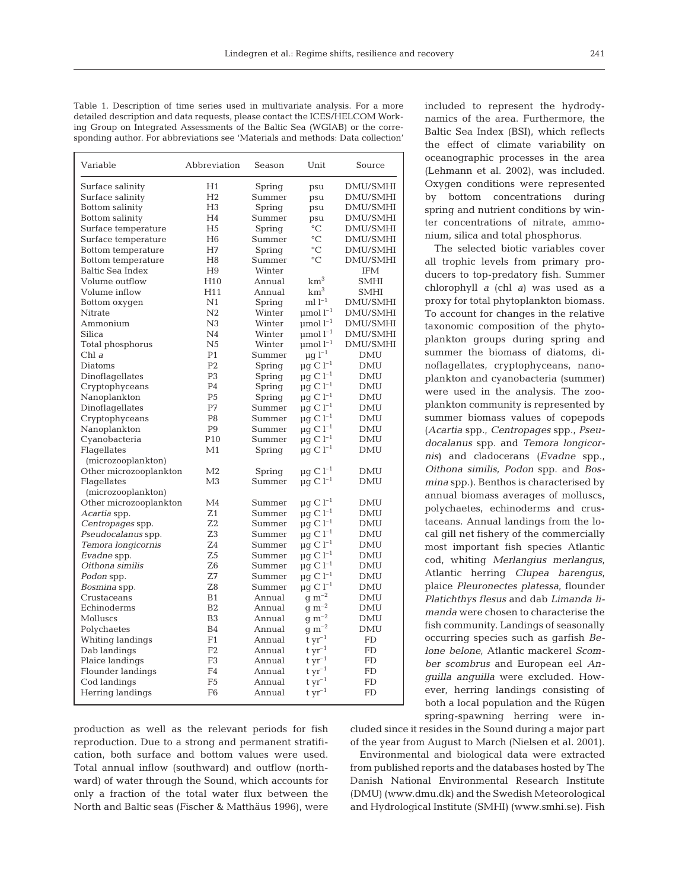Table 1. Description of time series used in multivariate analysis. For a more detailed description and data requests, please contact the ICES/HELCOM Working Group on Integrated Assessments of the Baltic Sea (WGIAB) or the corresponding author. For abbreviations see 'Materials and methods: Data collection'

| Variable               | Abbreviation    | Season<br>Unit |                           | Source          |  |
|------------------------|-----------------|----------------|---------------------------|-----------------|--|
| Surface salinity       | H1              | Spring         | psu                       | DMU/SMHI        |  |
| Surface salinity       | H <sub>2</sub>  | Summer         | psu                       | <b>DMU/SMHI</b> |  |
| <b>Bottom salinity</b> | H3              | Spring         | psu                       | <b>DMU/SMHI</b> |  |
| <b>Bottom salinity</b> | H <sub>4</sub>  | Summer         | psu                       | <b>DMU/SMHI</b> |  |
| Surface temperature    | H <sub>5</sub>  | Spring         | °C                        | DMU/SMHI        |  |
| Surface temperature    | H <sub>6</sub>  | Summer         | $\circ$ C                 | <b>DMU/SMHI</b> |  |
| Bottom temperature     | H7              | Spring         | $\rm ^{\circ}C$           | <b>DMU/SMHI</b> |  |
| Bottom temperature     | H <sub>8</sub>  | Summer         | $\rm ^{\circ}C$           | DMU/SMHI        |  |
| Baltic Sea Index       | H <sub>9</sub>  | Winter         |                           | <b>IFM</b>      |  |
| Volume outflow         | H10             | Annual         | km <sup>3</sup>           | <b>SMHI</b>     |  |
| Volume inflow          | H11             | Annual         | km <sup>3</sup>           | <b>SMHI</b>     |  |
| Bottom oxygen          | N1              | Spring         | $ml l^{-1}$               | <b>DMU/SMHI</b> |  |
| Nitrate                | N <sub>2</sub>  | Winter         | $\mu$ mol $l^{-1}$        | DMU/SMHI        |  |
| Ammonium               | N <sub>3</sub>  | Winter         | $\mu$ mol $l^{-1}$        | <b>DMU/SMHI</b> |  |
| <b>Silica</b>          | N <sub>4</sub>  | Winter         | $\mu$ mol $l^{-1}$        | <b>DMU/SMHI</b> |  |
| Total phosphorus       | N <sub>5</sub>  | Winter         | $\mu$ mol $l^{-1}$        | <b>DMU/SMHI</b> |  |
| Chl a                  | P <sub>1</sub>  | Summer         | $\mu$ g l <sup>-1</sup>   | DMU             |  |
| Diatoms                | P <sub>2</sub>  | Spring         | $\mu$ g C l <sup>-1</sup> | <b>DMU</b>      |  |
| Dinoflagellates        | P <sub>3</sub>  | Spring         | $\mu$ g C l <sup>-1</sup> | <b>DMU</b>      |  |
| Cryptophyceans         | P <sub>4</sub>  | Spring         | $\mu$ g C l <sup>-1</sup> | <b>DMU</b>      |  |
| Nanoplankton           | P <sub>5</sub>  | Spring         | $\mu$ g C l <sup>-1</sup> | <b>DMU</b>      |  |
| Dinoflagellates        | P7              | Summer         | $\mu$ g C l <sup>-1</sup> | <b>DMU</b>      |  |
| Cryptophyceans         | P <sub>8</sub>  | Summer         | $\mu$ g C l <sup>-1</sup> | DMU             |  |
| Nanoplankton           | P <sub>9</sub>  | Summer         | $\mu$ g C l <sup>-1</sup> | <b>DMU</b>      |  |
| Cyanobacteria          | P <sub>10</sub> | Summer         | $\mu$ g C l <sup>-1</sup> | <b>DMU</b>      |  |
| Flagellates            | M1              | Spring         | $\mu$ g C l <sup>-1</sup> | <b>DMU</b>      |  |
| (microzooplankton)     |                 |                |                           |                 |  |
| Other microzooplankton | M <sub>2</sub>  | Spring         | $\mu$ g C l <sup>-1</sup> | <b>DMU</b>      |  |
| Flagellates            | M <sub>3</sub>  | Summer         | $\mu$ q C l <sup>-1</sup> | DMU             |  |
| (microzooplankton)     |                 |                |                           |                 |  |
| Other microzooplankton | M <sub>4</sub>  | Summer         | $\mu$ g C l <sup>-1</sup> | DMU             |  |
| Acartia spp.           | Z <sub>1</sub>  | Summer         | $\mu$ g C l <sup>-1</sup> | <b>DMU</b>      |  |
| Centropages spp.       | Z <sub>2</sub>  | Summer         | $\mu$ g C l <sup>-1</sup> | <b>DMU</b>      |  |
| Pseudocalanus spp.     | Z <sub>3</sub>  | Summer         | $\mu$ g C l <sup>-1</sup> | <b>DMU</b>      |  |
| Temora longicornis     | Z <sub>4</sub>  | Summer         | $\mu g \subset l^{-1}$    | DMU             |  |
| Evadne spp.            | Z <sub>5</sub>  | Summer         | $\mu$ g C l <sup>-1</sup> | <b>DMU</b>      |  |
| Oithona similis        | Z <sub>6</sub>  | Summer         | $\mu$ g C l <sup>-1</sup> | DMU             |  |
| Podon spp.             | Z7              | Summer         | $\mu$ g C l <sup>-1</sup> | <b>DMU</b>      |  |
| Bosmina spp.           | Z <sub>8</sub>  | Summer         | $\mu$ g C l <sup>-1</sup> | <b>DMU</b>      |  |
| Crustaceans            | B1              | Annual         | $g~m^{-2}$                | <b>DMU</b>      |  |
| Echinoderms            | B <sub>2</sub>  | Annual         | $\rm g~m^{-2}$            | DMU             |  |
| Molluscs               | B <sub>3</sub>  | Annual         | $g m^{-2}$                | <b>DMU</b>      |  |
| Polychaetes            | <b>B4</b>       | Annual         | $\rm g~m^{-2}$            | DMU             |  |
| Whiting landings       | F1              | Annual         | t yr $^{-1}$              | FD              |  |
| Dab landings           | F2              | Annual         | t v $\rm{r}^{-1}$         | <b>FD</b>       |  |
| Plaice landings        | F <sub>3</sub>  | Annual         | t yr $^{-1}$              | FD              |  |
| Flounder landings      | F4              | Annual         | t v $\rm{r}^{-1}$         | FD              |  |
| Cod landings           | F <sub>5</sub>  | Annual         | t $yr^{-1}$               | FD              |  |
| Herring landings       | F <sub>6</sub>  | Annual         | t $yr^{-1}$               | FD              |  |

production as well as the relevant periods for fish reproduction. Due to a strong and permanent stratification, both surface and bottom values were used. Total annual inflow (southward) and outflow (northward) of water through the Sound, which accounts for only a fraction of the total water flux between the North and Baltic seas (Fischer & Matthäus 1996), were included to represent the hydrodynamics of the area. Furthermore, the Baltic Sea Index (BSI), which reflects the effect of climate variability on oceanographic processes in the area (Lehmann et al. 2002), was included. Oxygen conditions were represented by bottom concentrations during spring and nutrient conditions by winter concentrations of nitrate, ammonium, silica and total phosphorus.

The selected biotic variables cover all trophic levels from primary producers to top-predatory fish. Summer chlorophyll *a* (chl *a*) was used as a proxy for total phytoplankton biomass. To account for changes in the relative taxonomic composition of the phytoplankton groups during spring and summer the biomass of diatoms, dinoflagellates, cryptophyceans, nanoplankton and cyanobacteria (summer) were used in the analysis. The zooplankton community is represented by summer biomass values of copepods (*Acartia* spp*.*, *Centropages* spp*.*, *Pseudocalanus* spp. and *Temora longicornis*) and cladocerans (*Evadne* spp*.*, *Oithona similis*, *Podon* spp. and *Bosmina* spp.). Benthos is characterised by annual biomass averages of molluscs, polychaetes, echinoderms and crustaceans. Annual landings from the local gill net fishery of the commercially most important fish species Atlantic cod, whiting *Merlangius merlangus*, Atlantic herring *Clupea harengus*, plaice *Pleuronectes platessa*, flounder *Platichthys flesus* and dab *Limanda limanda* were chosen to characterise the fish community. Landings of seasonally occurring species such as garfish *Belone belone*, Atlantic mackerel *Scomber scombrus* and European eel *Anguilla anguilla* were excluded. However, herring landings consisting of both a local population and the Rügen spring-spawning herring were in-

cluded since it resides in the Sound during a major part of the year from August to March (Nielsen et al. 2001).

Environmental and biological data were extracted from published reports and the databases hosted by The Danish National Environmental Research Institute (DMU) (www.dmu.dk) and the Swedish Meteorological and Hydrological Institute (SMHI) (www.smhi.se). Fish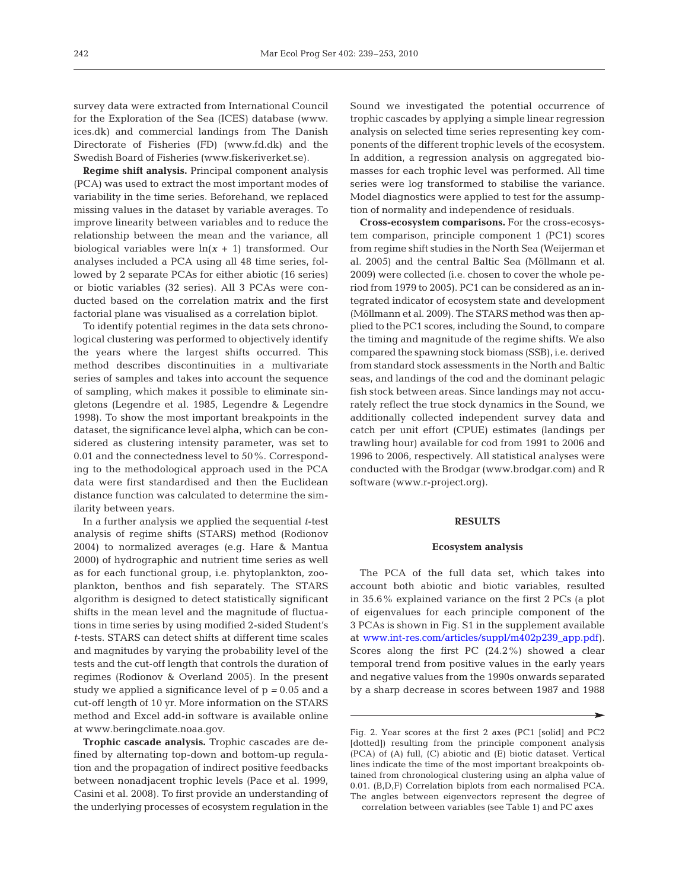survey data were extracted from International Council for the Exploration of the Sea (ICES) database (www. ices.dk) and commercial landings from The Danish Directorate of Fisheries (FD) (www.fd.dk) and the Swedish Board of Fisheries (www.fiskeriverket.se).

**Regime shift analysis.** Principal component analysis (PCA) was used to extract the most important modes of variability in the time series. Beforehand, we replaced missing values in the dataset by variable averages. To improve linearity between variables and to reduce the relationship between the mean and the variance, all biological variables were  $ln(x + 1)$  transformed. Our analyses included a PCA using all 48 time series, followed by 2 separate PCAs for either abiotic (16 series) or biotic variables (32 series). All 3 PCAs were conducted based on the correlation matrix and the first factorial plane was visualised as a correlation biplot.

To identify potential regimes in the data sets chronological clustering was performed to objectively identify the years where the largest shifts occurred. This method describes discontinuities in a multivariate series of samples and takes into account the sequence of sampling, which makes it possible to eliminate singletons (Legendre et al. 1985, Legendre & Legendre 1998). To show the most important breakpoints in the dataset, the significance level alpha, which can be considered as clustering intensity parameter, was set to 0.01 and the connectedness level to 50%. Corresponding to the methodological approach used in the PCA data were first standardised and then the Euclidean distance function was calculated to determine the similarity between years.

In a further analysis we applied the sequential *t*-test analysis of regime shifts (STARS) method (Rodionov 2004) to normalized averages (e.g. Hare & Mantua 2000) of hydrographic and nutrient time series as well as for each functional group, i.e. phytoplankton, zooplankton, benthos and fish separately. The STARS algorithm is designed to detect statistically significant shifts in the mean level and the magnitude of fluctuations in time series by using modified 2-sided Student's *t*-tests. STARS can detect shifts at different time scales and magnitudes by varying the probability level of the tests and the cut-off length that controls the duration of regimes (Rodionov & Overland 2005). In the present study we applied a significance level of p *=* 0.05 and a cut-off length of 10 yr. More information on the STARS method and Excel add-in software is available online at www.beringclimate.noaa.gov.

**Trophic cascade analysis.** Trophic cascades are defined by alternating top-down and bottom-up regulation and the propagation of indirect positive feedbacks between nonadjacent trophic levels (Pace et al. 1999, Casini et al. 2008). To first provide an understanding of the underlying processes of ecosystem regulation in the Sound we investigated the potential occurrence of trophic cascades by applying a simple linear regression analysis on selected time series representing key components of the different trophic levels of the ecosystem. In addition, a regression analysis on aggregated biomasses for each trophic level was performed. All time series were log transformed to stabilise the variance. Model diagnostics were applied to test for the assumption of normality and independence of residuals.

**Cross-ecosystem comparisons.** For the cross-ecosystem comparison, principle component 1 (PC1) scores from regime shift studies in the North Sea (Weijerman et al. 2005) and the central Baltic Sea (Möllmann et al. 2009) were collected (i.e. chosen to cover the whole period from 1979 to 2005). PC1 can be considered as an integrated indicator of ecosystem state and development (Möllmann et al. 2009). The STARS method was then applied to the PC1 scores, including the Sound, to compare the timing and magnitude of the regime shifts. We also compared the spawning stock biomass (SSB), i.e. derived from standard stock assessments in the North and Baltic seas, and landings of the cod and the dominant pelagic fish stock between areas. Since landings may not accurately reflect the true stock dynamics in the Sound, we additionally collected independent survey data and catch per unit effort (CPUE) estimates (landings per trawling hour) available for cod from 1991 to 2006 and 1996 to 2006, respectively. All statistical analyses were conducted with the Brodgar (www.brodgar.com) and R software (www.r-project.org).

# **RESULTS**

#### **Ecosystem analysis**

The PCA of the full data set, which takes into account both abiotic and biotic variables, resulted in 35.6% explained variance on the first 2 PCs (a plot of eigenvalues for each principle component of the 3 PCAs is shown in Fig. S1 in the supplement available at [www.int-res.com/articles/suppl/m402p239\\_app.pdf\).](http://www.int-res.com/articles/suppl/m402p239_app.pdf) Scores along the first PC (24.2%) showed a clear temporal trend from positive values in the early years and negative values from the 1990s onwards separated by a sharp decrease in scores between 1987 and 1988

Fig. 2. Year scores at the first 2 axes (PC1 [solid] and PC2 [dotted]) resulting from the principle component analysis (PCA) of (A) full, (C) abiotic and (E) biotic dataset. Vertical lines indicate the time of the most important breakpoints obtained from chronological clustering using an alpha value of 0.01. (B,D,F) Correlation biplots from each normalised PCA. The angles between eigenvectors represent the degree of

correlation between variables (see Table 1) and PC axes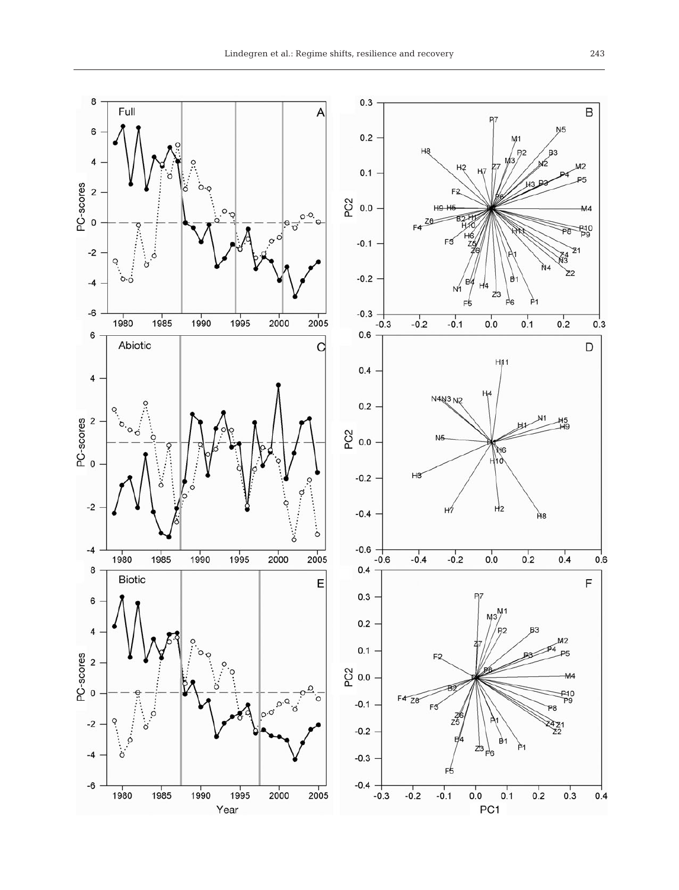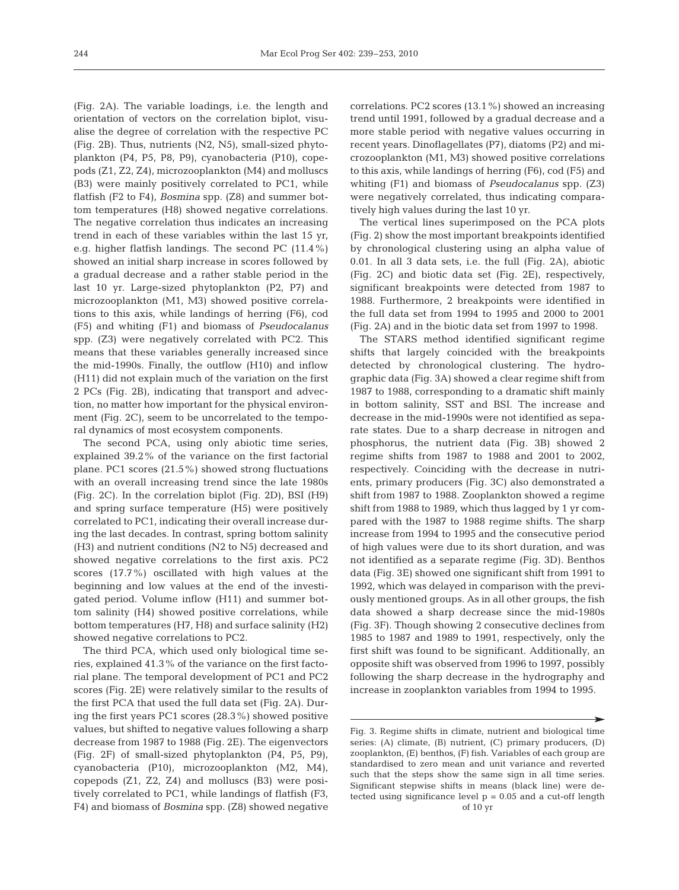(Fig. 2A). The variable loadings, i.e. the length and orientation of vectors on the correlation biplot, visualise the degree of correlation with the respective PC (Fig. 2B). Thus, nutrients (N2, N5), small-sized phytoplankton (P4, P5, P8, P9), cyanobacteria (P10), copepods (Z1, Z2, Z4), microzooplankton (M4) and molluscs (B3) were mainly positively correlated to PC1, while flatfish (F2 to F4), *Bosmina* spp. (Z8) and summer bottom temperatures (H8) showed negative correlations. The negative correlation thus indicates an increasing trend in each of these variables within the last 15 yr, e.g. higher flatfish landings. The second PC (11.4%) showed an initial sharp increase in scores followed by a gradual decrease and a rather stable period in the last 10 yr. Large-sized phytoplankton (P2, P7) and microzooplankton (M1, M3) showed positive correlations to this axis, while landings of herring (F6), cod (F5) and whiting (F1) and biomass of *Pseudocalanus* spp. (Z3) were negatively correlated with PC2. This means that these variables generally increased since the mid-1990s. Finally, the outflow (H10) and inflow (H11) did not explain much of the variation on the first 2 PCs (Fig. 2B), indicating that transport and advection, no matter how important for the physical environment (Fig. 2C), seem to be uncorrelated to the temporal dynamics of most ecosystem components.

The second PCA, using only abiotic time series, explained 39.2% of the variance on the first factorial plane. PC1 scores (21.5%) showed strong fluctuations with an overall increasing trend since the late 1980s (Fig. 2C). In the correlation biplot (Fig. 2D), BSI (H9) and spring surface temperature (H5) were positively correlated to PC1, indicating their overall increase during the last decades. In contrast, spring bottom salinity (H3) and nutrient conditions (N2 to N5) decreased and showed negative correlations to the first axis. PC2 scores (17.7%) oscillated with high values at the beginning and low values at the end of the investigated period. Volume inflow (H11) and summer bottom salinity (H4) showed positive correlations, while bottom temperatures (H7, H8) and surface salinity (H2) showed negative correlations to PC2.

The third PCA, which used only biological time series, explained 41.3% of the variance on the first factorial plane. The temporal development of PC1 and PC2 scores (Fig. 2E) were relatively similar to the results of the first PCA that used the full data set (Fig. 2A). During the first years PC1 scores (28.3%) showed positive values, but shifted to negative values following a sharp decrease from 1987 to 1988 (Fig. 2E). The eigenvectors (Fig. 2F) of small-sized phytoplankton (P4, P5, P9), cyanobacteria (P10), microzooplankton (M2, M4), copepods (Z1, Z2, Z4) and molluscs (B3) were positively correlated to PC1, while landings of flatfish (F3, F4) and biomass of *Bosmina* spp. (Z8) showed negative correlations. PC2 scores (13.1%) showed an increasing trend until 1991, followed by a gradual decrease and a more stable period with negative values occurring in recent years. Dinoflagellates (P7), diatoms (P2) and microzooplankton (M1, M3) showed positive correlations to this axis, while landings of herring (F6), cod (F5) and whiting (F1) and biomass of *Pseudocalanus* spp. (Z3) were negatively correlated, thus indicating comparatively high values during the last 10 yr.

The vertical lines superimposed on the PCA plots (Fig. 2) show the most important breakpoints identified by chronological clustering using an alpha value of 0.01. In all 3 data sets, i.e. the full (Fig. 2A), abiotic (Fig. 2C) and biotic data set (Fig. 2E), respectively, significant breakpoints were detected from 1987 to 1988. Furthermore, 2 breakpoints were identified in the full data set from 1994 to 1995 and 2000 to 2001 (Fig. 2A) and in the biotic data set from 1997 to 1998.

The STARS method identified significant regime shifts that largely coincided with the breakpoints detected by chronological clustering. The hydrographic data (Fig. 3A) showed a clear regime shift from 1987 to 1988, corresponding to a dramatic shift mainly in bottom salinity, SST and BSI. The increase and decrease in the mid-1990s were not identified as separate states. Due to a sharp decrease in nitrogen and phosphorus, the nutrient data (Fig. 3B) showed 2 regime shifts from 1987 to 1988 and 2001 to 2002, respectively. Coinciding with the decrease in nutrients, primary producers (Fig. 3C) also demonstrated a shift from 1987 to 1988. Zooplankton showed a regime shift from 1988 to 1989, which thus lagged by 1 yr compared with the 1987 to 1988 regime shifts. The sharp increase from 1994 to 1995 and the consecutive period of high values were due to its short duration, and was not identified as a separate regime (Fig. 3D). Benthos data (Fig. 3E) showed one significant shift from 1991 to 1992, which was delayed in comparison with the previously mentioned groups. As in all other groups, the fish data showed a sharp decrease since the mid-1980s (Fig. 3F). Though showing 2 consecutive declines from 1985 to 1987 and 1989 to 1991, respectively, only the first shift was found to be significant. Additionally, an opposite shift was observed from 1996 to 1997, possibly following the sharp decrease in the hydrography and increase in zooplankton variables from 1994 to 1995.

Fig. 3. Regime shifts in climate, nutrient and biological time series: (A) climate, (B) nutrient, (C) primary producers, (D) zooplankton, (E) benthos, (F) fish. Variables of each group are standardised to zero mean and unit variance and reverted such that the steps show the same sign in all time series. Significant stepwise shifts in means (black line) were detected using significance level  $p = 0.05$  and a cut-off length of 10 yr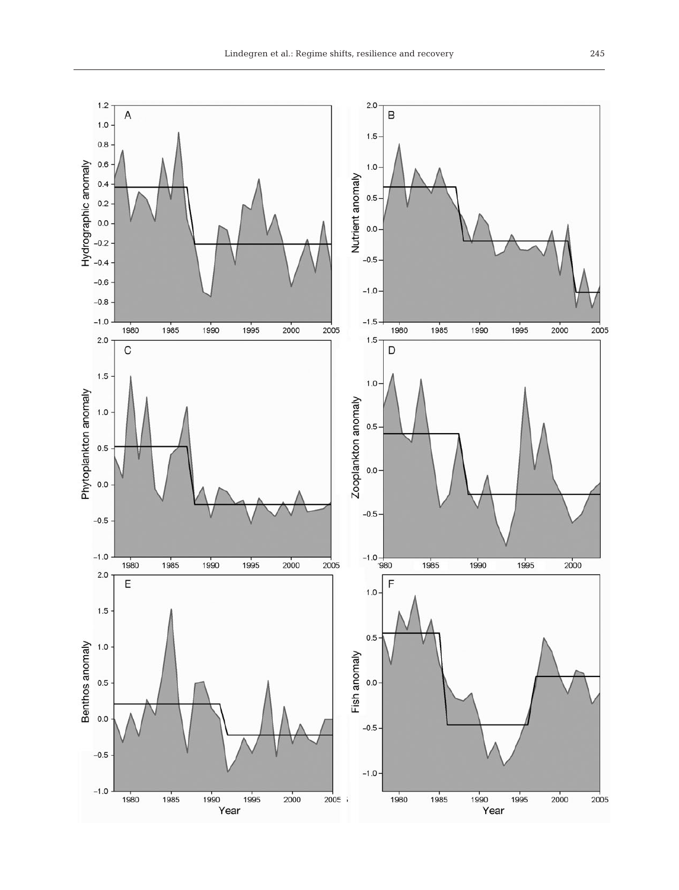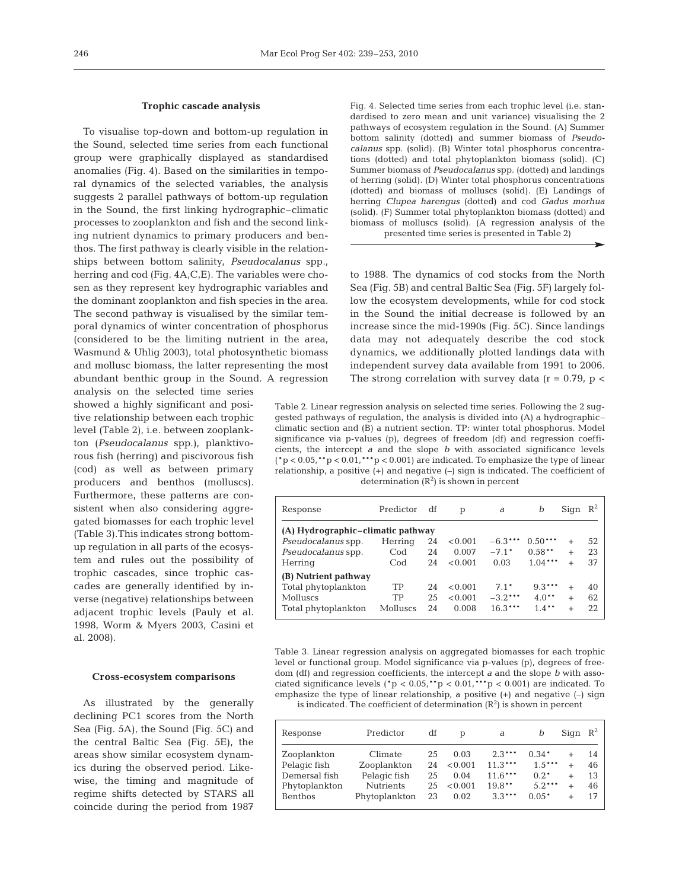# **Trophic cascade analysis**

To visualise top-down and bottom-up regulation in the Sound, selected time series from each functional group were graphically displayed as standardised anomalies (Fig. 4). Based on the similarities in temporal dynamics of the selected variables, the analysis suggests 2 parallel pathways of bottom-up regulation in the Sound, the first linking hydrographic–climatic processes to zooplankton and fish and the second linking nutrient dynamics to primary producers and benthos. The first pathway is clearly visible in the relationships between bottom salinity, *Pseudocalanus* spp., herring and cod (Fig. 4A,C,E). The variables were chosen as they represent key hydrographic variables and the dominant zooplankton and fish species in the area. The second pathway is visualised by the similar temporal dynamics of winter concentration of phosphorus (considered to be the limiting nutrient in the area, Wasmund & Uhlig 2003), total photosynthetic biomass and mollusc biomass, the latter representing the most abundant benthic group in the Sound. A regression

analysis on the selected time series showed a highly significant and positive relationship between each trophic level (Table 2), i.e. between zooplankton (*Pseudocalanus* spp.), planktivorous fish (herring) and piscivorous fish (cod) as well as between primary producers and benthos (molluscs). Furthermore, these patterns are consistent when also considering aggregated biomasses for each trophic level (Table 3).This indicates strong bottomup regulation in all parts of the ecosystem and rules out the possibility of trophic cascades, since trophic cascades are generally identified by inverse (negative) relationships between adjacent trophic levels (Pauly et al. 1998, Worm & Myers 2003, Casini et al. 2008).

#### **Cross-ecosystem comparisons**

As illustrated by the generally declining PC1 scores from the North Sea (Fig. 5A), the Sound (Fig. 5C) and the central Baltic Sea (Fig. 5E), the areas show similar ecosystem dynamics during the observed period. Likewise, the timing and magnitude of regime shifts detected by STARS all coincide during the period from 1987

Fig. 4. Selected time series from each trophic level (i.e. standardised to zero mean and unit variance) visualising the 2 pathways of ecosystem regulation in the Sound. (A) Summer bottom salinity (dotted) and summer biomass of *Pseudocalanus* spp. (solid). (B) Winter total phosphorus concentrations (dotted) and total phytoplankton biomass (solid). (C) Summer biomass of *Pseudocalanus* spp. (dotted) and landings of herring (solid). (D) Winter total phosphorus concentrations (dotted) and biomass of molluscs (solid). (E) Landings of herring *Clupea harengus* (dotted) and cod *Gadus morhua* (solid). (F) Summer total phytoplankton biomass (dotted) and biomass of molluscs (solid). (A regression analysis of the presented time series is presented in Table 2)

to 1988. The dynamics of cod stocks from the North Sea (Fig. 5B) and central Baltic Sea (Fig. 5F) largely follow the ecosystem developments, while for cod stock in the Sound the initial decrease is followed by an increase since the mid-1990s (Fig. 5C). Since landings data may not adequately describe the cod stock dynamics, we additionally plotted landings data with independent survey data available from 1991 to 2006. The strong correlation with survey data ( $r = 0.79$ ,  $p <$ 

Table 2. Linear regression analysis on selected time series. Following the 2 suggested pathways of regulation, the analysis is divided into (A) a hydrographic– climatic section and (B) a nutrient section. TP: winter total phosphorus. Model significance via p-values (p), degrees of freedom (df) and regression coefficients, the intercept *a* and the slope *b* with associated significance levels ( $p < 0.05$ ,  $*$   $p < 0.01$ ,  $**$   $p < 0.001$ ) are indicated. To emphasize the type of linear relationship, a positive (+) and negative (–) sign is indicated. The coefficient of determination  $(R^2)$  is shown in percent

| Response                          | Predictor | df | p       | a         | b         | Sign      | $R^2$ |  |
|-----------------------------------|-----------|----|---------|-----------|-----------|-----------|-------|--|
| (A) Hydrographic-climatic pathway |           |    |         |           |           |           |       |  |
| Pseudocalanus spp.                | Herring   | 24 | < 0.001 | $-6.3***$ | $0.50***$ | $\ddot{}$ | 52    |  |
| Pseudocalanus spp.                | Cod       | 24 | 0.007   | $-7.1*$   | $0.58**$  | $\ddot{}$ | 23    |  |
| Herring                           | Cod       | 24 | < 0.001 | 0.03      | $1.04***$ |           | 37    |  |
| (B) Nutrient pathway              |           |    |         |           |           |           |       |  |
| Total phytoplankton               | ТP        | 24 | < 0.001 | $7.1*$    | $9.3***$  | $\ddot{}$ | 40    |  |
| Molluscs                          | TP        | 25 | < 0.001 | $-3.2***$ | $4.0**$   | $\ddot{}$ | 62    |  |
| Total phytoplankton               | Molluscs  | 24 | 0.008   | $16.3***$ | $1.4***$  | $\ddot{}$ | 22    |  |

Table 3. Linear regression analysis on aggregated biomasses for each trophic level or functional group. Model significance via p-values (p), degrees of freedom (df) and regression coefficients, the intercept *a* and the slope *b* with associated significance levels (\*p < 0.05,\*\*p < 0.01,\*\*\*p < 0.001) are indicated. To emphasize the type of linear relationship, a positive  $(+)$  and negative  $(-)$  sign

is indicated. The coefficient of determination  $(R^2)$  is shown in percent

| Response      | Predictor        | df | р       | a         | h        | Sign      | $R^2$ |
|---------------|------------------|----|---------|-----------|----------|-----------|-------|
| Zooplankton   | Climate          | 25 | 0.03    | $2.3***$  | $0.34*$  |           | 14    |
| Pelagic fish  | Zooplankton      | 24 | < 0.001 | $11.3***$ | $1.5***$ | $\ddot{}$ | 46    |
| Demersal fish | Pelagic fish     | 25 | 0.04    | $11.6***$ | $0.2*$   | $+$       | 13    |
| Phytoplankton | <b>Nutrients</b> | 25 | < 0.001 | $19.8**$  | $5.2***$ | $\ddot{}$ | 46    |
| Benthos       | Phytoplankton    | 23 | 0.02    | $3.3***$  | $0.05*$  | $\div$    | 17    |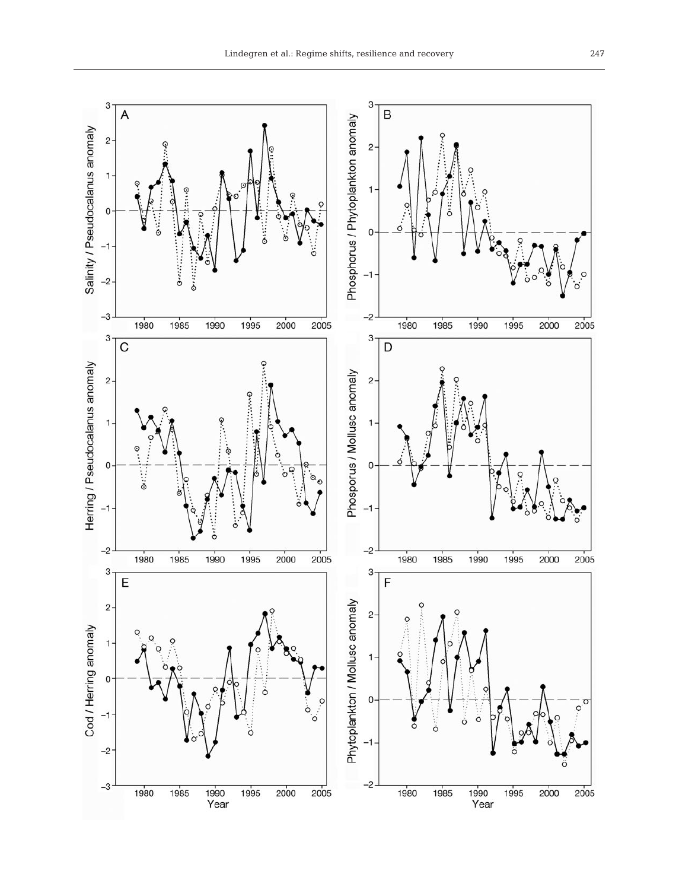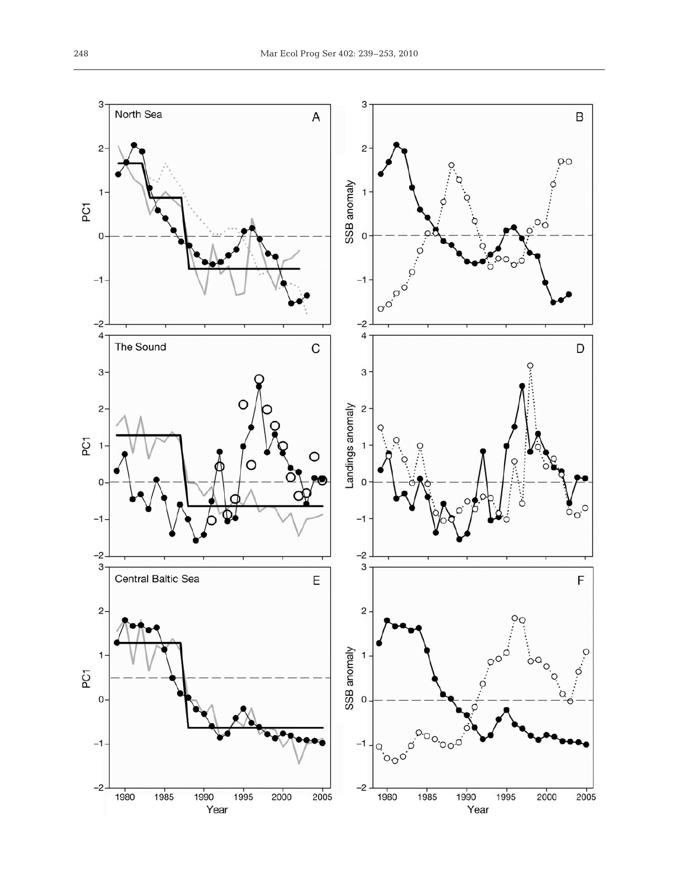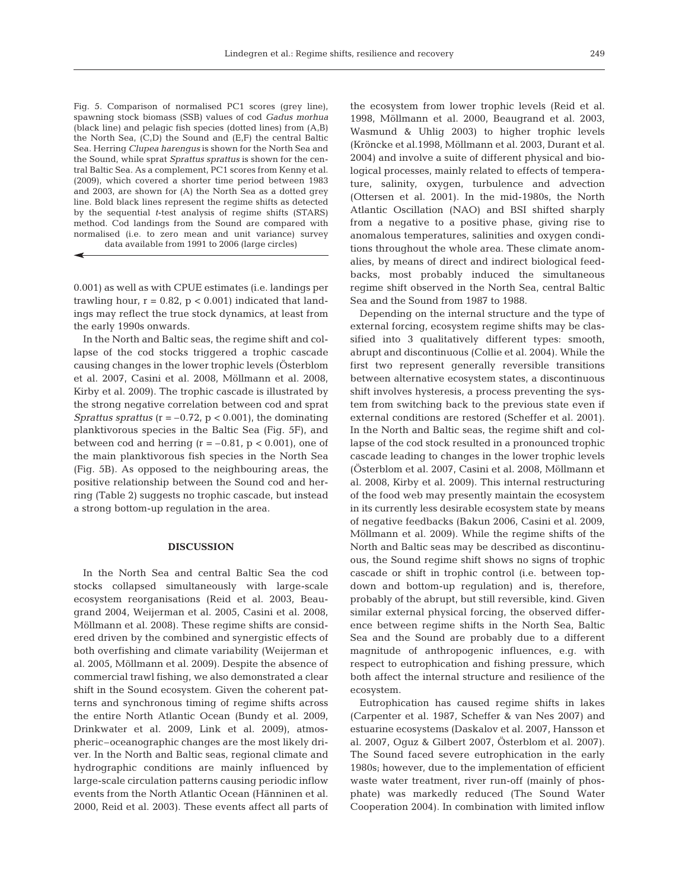Fig. 5. Comparison of normalised PC1 scores (grey line), spawning stock biomass (SSB) values of cod *Gadus morhua* (black line) and pelagic fish species (dotted lines) from (A,B) the North Sea, (C,D) the Sound and (E,F) the central Baltic Sea. Herring *Clupea harengus* is shown for the North Sea and the Sound, while sprat *Sprattus sprattus* is shown for the central Baltic Sea. As a complement, PC1 scores from Kenny et al. (2009), which covered a shorter time period between 1983 and 2003, are shown for (A) the North Sea as a dotted grey line. Bold black lines represent the regime shifts as detected by the sequential *t*-test analysis of regime shifts (STARS) method. Cod landings from the Sound are compared with normalised (i.e. to zero mean and unit variance) survey data available from 1991 to 2006 (large circles)

0.001) as well as with CPUE estimates (i.e. landings per trawling hour,  $r = 0.82$ ,  $p < 0.001$ ) indicated that landings may reflect the true stock dynamics, at least from the early 1990s onwards.

In the North and Baltic seas, the regime shift and collapse of the cod stocks triggered a trophic cascade causing changes in the lower trophic levels (Österblom et al. 2007, Casini et al. 2008, Möllmann et al. 2008, Kirby et al. 2009). The trophic cascade is illustrated by the strong negative correlation between cod and sprat *Sprattus sprattus* ( $r = -0.72$ ,  $p < 0.001$ ), the dominating planktivorous species in the Baltic Sea (Fig. 5F), and between cod and herring  $(r = -0.81, p < 0.001)$ , one of the main planktivorous fish species in the North Sea (Fig. 5B). As opposed to the neighbouring areas, the positive relationship between the Sound cod and herring (Table 2) suggests no trophic cascade, but instead a strong bottom-up regulation in the area.

#### **DISCUSSION**

In the North Sea and central Baltic Sea the cod stocks collapsed simultaneously with large-scale ecosystem reorganisations (Reid et al. 2003, Beaugrand 2004, Weijerman et al. 2005, Casini et al. 2008, Möllmann et al. 2008). These regime shifts are considered driven by the combined and synergistic effects of both overfishing and climate variability (Weijerman et al. 2005, Möllmann et al. 2009). Despite the absence of commercial trawl fishing, we also demonstrated a clear shift in the Sound ecosystem. Given the coherent patterns and synchronous timing of regime shifts across the entire North Atlantic Ocean (Bundy et al. 2009, Drinkwater et al. 2009, Link et al. 2009), atmospheric–oceanographic changes are the most likely driver. In the North and Baltic seas, regional climate and hydrographic conditions are mainly influenced by large-scale circulation patterns causing periodic inflow events from the North Atlantic Ocean (Hänninen et al. 2000, Reid et al. 2003). These events affect all parts of

the ecosystem from lower trophic levels (Reid et al. 1998, Möllmann et al. 2000, Beaugrand et al. 2003, Wasmund & Uhlig 2003) to higher trophic levels (Kröncke et al.1998, Möllmann et al. 2003, Durant et al. 2004) and involve a suite of different physical and biological processes, mainly related to effects of temperature, salinity, oxygen, turbulence and advection (Ottersen et al. 2001). In the mid-1980s, the North Atlantic Oscillation (NAO) and BSI shifted sharply from a negative to a positive phase, giving rise to anomalous temperatures, salinities and oxygen conditions throughout the whole area. These climate anomalies, by means of direct and indirect biological feedbacks, most probably induced the simultaneous regime shift observed in the North Sea, central Baltic Sea and the Sound from 1987 to 1988.

Depending on the internal structure and the type of external forcing, ecosystem regime shifts may be classified into 3 qualitatively different types: smooth, abrupt and discontinuous (Collie et al. 2004). While the first two represent generally reversible transitions between alternative ecosystem states, a discontinuous shift involves hysteresis, a process preventing the system from switching back to the previous state even if external conditions are restored (Scheffer et al. 2001). In the North and Baltic seas, the regime shift and collapse of the cod stock resulted in a pronounced trophic cascade leading to changes in the lower trophic levels (Österblom et al. 2007, Casini et al. 2008, Möllmann et al. 2008, Kirby et al. 2009). This internal restructuring of the food web may presently maintain the ecosystem in its currently less desirable ecosystem state by means of negative feedbacks (Bakun 2006, Casini et al. 2009, Möllmann et al. 2009). While the regime shifts of the North and Baltic seas may be described as discontinuous, the Sound regime shift shows no signs of trophic cascade or shift in trophic control (i.e. between topdown and bottom-up regulation) and is, therefore, probably of the abrupt, but still reversible, kind. Given similar external physical forcing, the observed difference between regime shifts in the North Sea, Baltic Sea and the Sound are probably due to a different magnitude of anthropogenic influences, e.g. with respect to eutrophication and fishing pressure, which both affect the internal structure and resilience of the ecosystem.

Eutrophication has caused regime shifts in lakes (Carpenter et al. 1987, Scheffer & van Nes 2007) and estuarine ecosystems (Daskalov et al. 2007, Hansson et al. 2007, Oguz & Gilbert 2007, Österblom et al. 2007). The Sound faced severe eutrophication in the early 1980s; however, due to the implementation of efficient waste water treatment, river run-off (mainly of phosphate) was markedly reduced (The Sound Water Cooperation 2004). In combination with limited inflow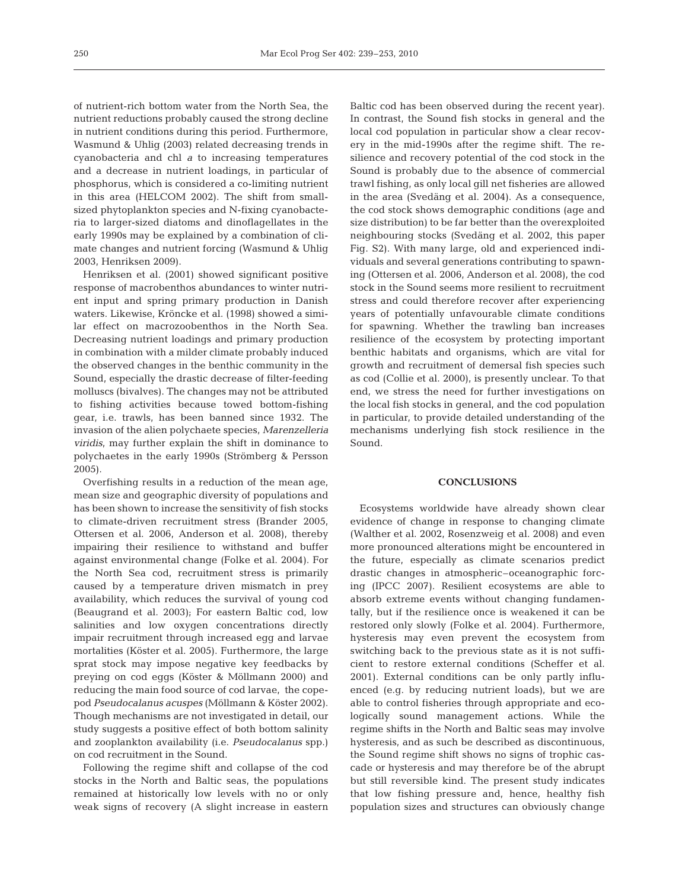of nutrient-rich bottom water from the North Sea, the nutrient reductions probably caused the strong decline in nutrient conditions during this period. Furthermore, Wasmund & Uhlig (2003) related decreasing trends in cyanobacteria and chl *a* to increasing temperatures and a decrease in nutrient loadings, in particular of phosphorus, which is considered a co-limiting nutrient in this area (HELCOM 2002). The shift from smallsized phytoplankton species and N-fixing cyanobacteria to larger-sized diatoms and dinoflagellates in the early 1990s may be explained by a combination of climate changes and nutrient forcing (Wasmund & Uhlig 2003, Henriksen 2009).

Henriksen et al. (2001) showed significant positive response of macrobenthos abundances to winter nutrient input and spring primary production in Danish waters. Likewise, Kröncke et al. (1998) showed a similar effect on macrozoobenthos in the North Sea. Decreasing nutrient loadings and primary production in combination with a milder climate probably induced the observed changes in the benthic community in the Sound, especially the drastic decrease of filter-feeding molluscs (bivalves). The changes may not be attributed to fishing activities because towed bottom-fishing gear, i.e. trawls, has been banned since 1932. The invasion of the alien polychaete species, *Marenzelleria viridis*, may further explain the shift in dominance to polychaetes in the early 1990s (Strömberg & Persson 2005).

Overfishing results in a reduction of the mean age, mean size and geographic diversity of populations and has been shown to increase the sensitivity of fish stocks to climate-driven recruitment stress (Brander 2005, Ottersen et al. 2006, Anderson et al. 2008), thereby impairing their resilience to withstand and buffer against environmental change (Folke et al. 2004). For the North Sea cod, recruitment stress is primarily caused by a temperature driven mismatch in prey availability, which reduces the survival of young cod (Beaugrand et al. 2003); For eastern Baltic cod, low salinities and low oxygen concentrations directly impair recruitment through increased egg and larvae mortalities (Köster et al. 2005). Furthermore, the large sprat stock may impose negative key feedbacks by preying on cod eggs (Köster & Möllmann 2000) and reducing the main food source of cod larvae, the copepod *Pseudocalanus acuspes* (Möllmann & Köster 2002). Though mechanisms are not investigated in detail, our study suggests a positive effect of both bottom salinity and zooplankton availability (i.e. *Pseudocalanus* spp.) on cod recruitment in the Sound.

Following the regime shift and collapse of the cod stocks in the North and Baltic seas, the populations remained at historically low levels with no or only weak signs of recovery (A slight increase in eastern

Baltic cod has been observed during the recent year). In contrast, the Sound fish stocks in general and the local cod population in particular show a clear recovery in the mid-1990s after the regime shift. The resilience and recovery potential of the cod stock in the Sound is probably due to the absence of commercial trawl fishing, as only local gill net fisheries are allowed in the area (Svedäng et al. 2004). As a consequence, the cod stock shows demographic conditions (age and size distribution) to be far better than the overexploited neighbouring stocks (Svedäng et al. 2002, this paper Fig. S2). With many large, old and experienced individuals and several generations contributing to spawning (Ottersen et al. 2006, Anderson et al. 2008), the cod stock in the Sound seems more resilient to recruitment stress and could therefore recover after experiencing years of potentially unfavourable climate conditions for spawning. Whether the trawling ban increases resilience of the ecosystem by protecting important benthic habitats and organisms, which are vital for growth and recruitment of demersal fish species such as cod (Collie et al. 2000), is presently unclear. To that end, we stress the need for further investigations on the local fish stocks in general, and the cod population in particular, to provide detailed understanding of the mechanisms underlying fish stock resilience in the Sound.

# **CONCLUSIONS**

Ecosystems worldwide have already shown clear evidence of change in response to changing climate (Walther et al. 2002, Rosenzweig et al. 2008) and even more pronounced alterations might be encountered in the future, especially as climate scenarios predict drastic changes in atmospheric–oceanographic forcing (IPCC 2007). Resilient ecosystems are able to absorb extreme events without changing fundamentally, but if the resilience once is weakened it can be restored only slowly (Folke et al. 2004). Furthermore, hysteresis may even prevent the ecosystem from switching back to the previous state as it is not sufficient to restore external conditions (Scheffer et al. 2001). External conditions can be only partly influenced (e.g. by reducing nutrient loads), but we are able to control fisheries through appropriate and ecologically sound management actions. While the regime shifts in the North and Baltic seas may involve hysteresis, and as such be described as discontinuous, the Sound regime shift shows no signs of trophic cascade or hysteresis and may therefore be of the abrupt but still reversible kind. The present study indicates that low fishing pressure and, hence, healthy fish population sizes and structures can obviously change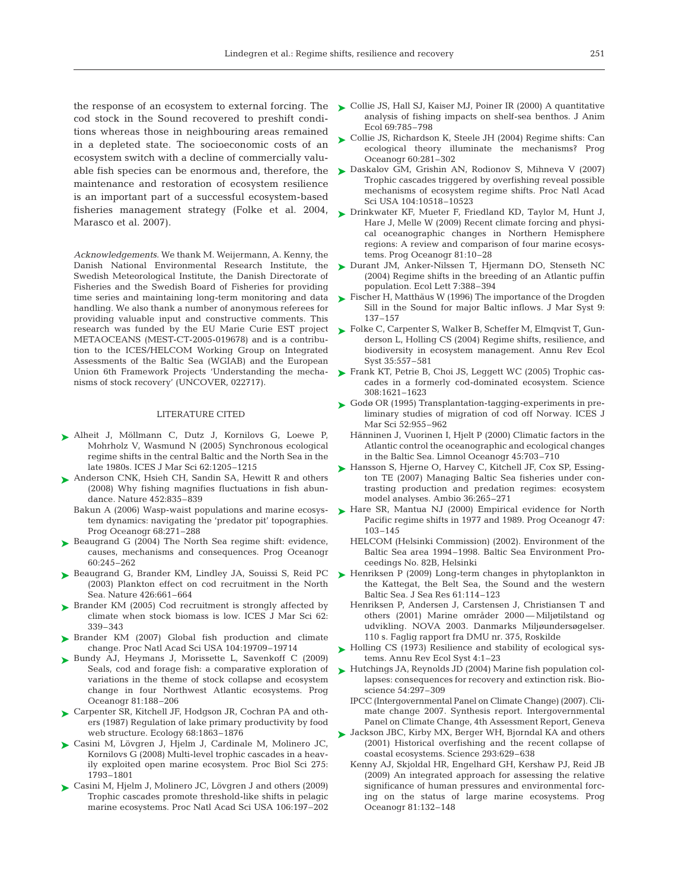cod stock in the Sound recovered to preshift conditions whereas those in neighbouring areas remained in a depleted state. The socioeconomic costs of an ecosystem switch with a decline of commercially valuable fish species can be enormous and, therefore, the maintenance and restoration of ecosystem resilience is an important part of a successful ecosystem-based fisheries management strategy (Folke et al. 2004, Drinkwater KF, Mueter F, Friedland KD, Taylor M, Hunt J, Taylor M, Hunt J, Taylor M, Hunt J, Taylor M, Hunt J, Taylor M, Hunt J, Taylor M, Hunt J, Taylor M, Hunt J, Taylor Marasco et al. 2007).

*Acknowledgements.* We thank M. Weijermann, A. Kenny, the Danish National Environmental Research Institute, the Swedish Meteorological Institute, the Danish Directorate of Fisheries and the Swedish Board of Fisheries for providing time series and maintaining long-term monitoring and data handling. We also thank a number of anonymous referees for providing valuable input and constructive comments. This research was funded by the EU Marie Curie EST project METAOCEANS (MEST-CT-2005-019678) and is a contribution to the ICES/HELCOM Working Group on Integrated Assessments of the Baltic Sea (WGIAB) and the European Union 6th Framework Projects 'Understanding the mechanisms of stock recovery' (UNCOVER, 022717).

#### LITERATURE CITED

- Alheit J, Möllmann C, Dutz J, Kornilovs G, Loewe P, ➤ Mohrholz V, Wasmund N (2005) Synchronous ecological regime shifts in the central Baltic and the North Sea in the late 1980s. ICES J Mar Sci 62:1205–1215
- ▶ Anderson CNK, Hsieh CH, Sandin SA, Hewitt R and others (2008) Why fishing magnifies fluctuations in fish abundance. Nature 452:835–839
	- Bakun A (2006) Wasp-waist populations and marine ecosystem dynamics: navigating the 'predator pit' topographies. Prog Oceanogr 68:271–288
- ▶ Beaugrand G (2004) The North Sea regime shift: evidence, causes, mechanisms and consequences. Prog Oceanogr 60:245–262
- ► Beaugrand G, Brander KM, Lindley JA, Souissi S, Reid PC (2003) Plankton effect on cod recruitment in the North Sea. Nature 426:661–664
- ► Brander KM (2005) Cod recruitment is strongly affected by climate when stock biomass is low. ICES J Mar Sci 62: 339–343
- ▶ Brander KM (2007) Global fish production and climate change. Proc Natl Acad Sci USA 104:19709–19714
- ► Bundy AJ, Heymans J, Morissette L, Savenkoff C (2009) Seals, cod and forage fish: a comparative exploration of variations in the theme of stock collapse and ecosystem change in four Northwest Atlantic ecosystems. Prog Oceanogr 81:188–206
- ► Carpenter SR, Kitchell JF, Hodgson JR, Cochran PA and others (1987) Regulation of lake primary productivity by food web structure. Ecology 68:1863–1876
- Casini M, Lövgren J, Hjelm J, Cardinale M, Molinero JC, ➤ Kornilovs G (2008) Multi-level trophic cascades in a heavily exploited open marine ecosystem. Proc Biol Sci 275: 1793–1801
- ► Casini M, Hjelm J, Molinero JC, Lövgren J and others (2009) Trophic cascades promote threshold-like shifts in pelagic marine ecosystems. Proc Natl Acad Sci USA 106:197–202
- the response of an ecosystem to external forcing. The  $\quad$  Collie JS, Hall SJ, Kaiser MJ, Poiner IR (2000) A quantitative analysis of fishing impacts on shelf-sea benthos. J Anim Ecol 69:785–798
	- ► Collie JS, Richardson K, Steele JH (2004) Regime shifts: Can ecological theory illuminate the mechanisms? Prog Oceanogr 60:281–302
	- ► Daskalov GM, Grishin AN, Rodionov S, Mihneva V (2007) Trophic cascades triggered by overfishing reveal possible mechanisms of ecosystem regime shifts. Proc Natl Acad Sci USA 104:10518–10523
	- Hare J, Melle W (2009) Recent climate forcing and physical oceanographic changes in Northern Hemisphere regions: A review and comparison of four marine ecosystems. Prog Oceanogr 81:10–28
	- ► Durant JM, Anker-Nilssen T, Hjermann DO, Stenseth NC (2004) Regime shifts in the breeding of an Atlantic puffin population. Ecol Lett 7:388–394
	- ► Fischer H, Matthäus W (1996) The importance of the Drogden Sill in the Sound for major Baltic inflows. J Mar Syst 9: 137–157
	- ► Folke C, Carpenter S, Walker B, Scheffer M, Elmqvist T, Gunderson L, Holling CS (2004) Regime shifts, resilience, and biodiversity in ecosystem management. Annu Rev Ecol Syst 35:557–581
	- ► Frank KT, Petrie B, Choi JS, Leggett WC (2005) Trophic cascades in a formerly cod-dominated ecosystem. Science 308:1621–1623
	- ► Godø OR (1995) Transplantation-tagging-experiments in preliminary studies of migration of cod off Norway. ICES J Mar Sci 52:955–962
		- Hänninen J, Vuorinen I, Hjelt P (2000) Climatic factors in the Atlantic control the oceanographic and ecological changes in the Baltic Sea. Limnol Oceanogr 45:703–710
	- ► Hansson S, Hjerne O, Harvey C, Kitchell JF, Cox SP, Essington TE (2007) Managing Baltic Sea fisheries under contrasting production and predation regimes: ecosystem model analyses. Ambio 36:265–271
	- ► Hare SR, Mantua NJ (2000) Empirical evidence for North Pacific regime shifts in 1977 and 1989. Prog Oceanogr 47: 103–145
		- HELCOM (Helsinki Commission) (2002). Environment of the Baltic Sea area 1994–1998. Baltic Sea Environment Proceedings No. 82B, Helsinki
	- ► Henriksen P (2009) Long-term changes in phytoplankton in the Kattegat, the Belt Sea, the Sound and the western Baltic Sea. J Sea Res 61:114–123
		- Henriksen P, Andersen J, Carstensen J, Christiansen T and others (2001) Marine områder 2000 — Miljøtilstand og udvikling. NOVA 2003. Danmarks Miljøundersøgelser. 110 s. Faglig rapport fra DMU nr. 375, Roskilde
	- ► Holling CS (1973) Resilience and stability of ecological systems. Annu Rev Ecol Syst 4:1–23
	- ► Hutchings JA, Reynolds JD (2004) Marine fish population collapses: consequences for recovery and extinction risk. Bioscience 54:297–309
		- IPCC (Intergovernmental Panel on Climate Change) (2007). Climate change 2007. Synthesis report. Intergovernmental Panel on Climate Change, 4th Assessment Report, Geneva
	- ► Jackson JBC, Kirby MX, Berger WH, Bjorndal KA and others (2001) Historical overfishing and the recent collapse of coastal ecosystems. Science 293:629–638
		- Kenny AJ, Skjoldal HR, Engelhard GH, Kershaw PJ, Reid JB (2009) An integrated approach for assessing the relative significance of human pressures and environmental forcing on the status of large marine ecosystems. Prog Oceanogr 81:132–148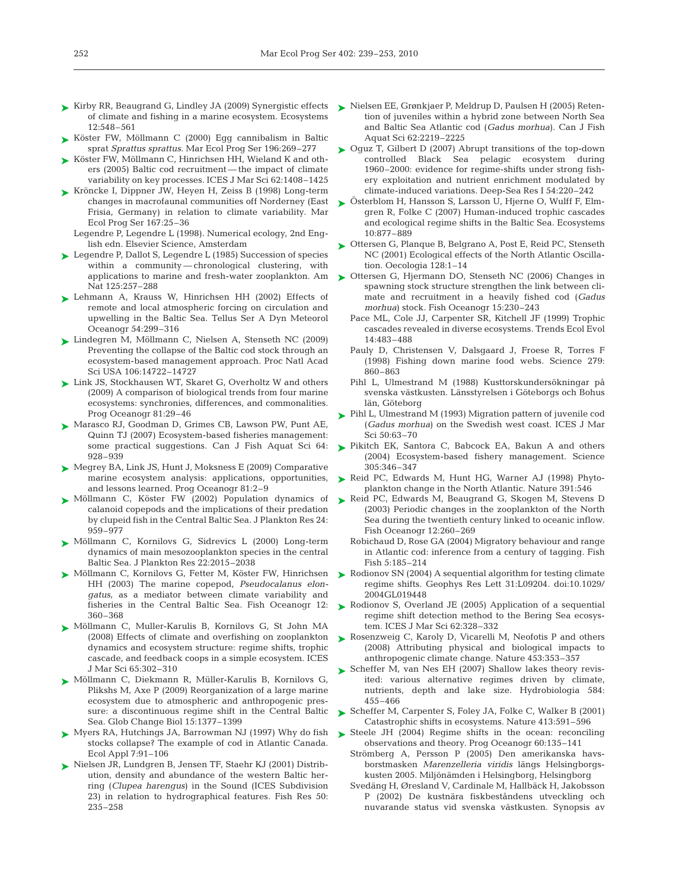- ► Kirby RR, Beaugrand G, Lindley JA (2009) Synergistic effects of climate and fishing in a marine ecosystem. Ecosystems 12:548–561
- ► Köster FW, Möllmann C (2000) Egg cannibalism in Baltic sprat *Sprattus sprattus*. Mar Ecol Prog Ser 196:269–277
- Köster FW, Möllmann C, Hinrichsen HH, Wieland K and others (2005) Baltic cod recruitment — the impact of climate variability on key processes. ICES J Mar Sci 62:1408–1425 ➤
- ► Kröncke I, Dippner JW, Heyen H, Zeiss B (1998) Long-term changes in macrofaunal communities off Norderney (East Frisia, Germany) in relation to climate variability. Mar Ecol Prog Ser 167:25–36
	- Legendre P, Legendre L (1998). Numerical ecology, 2nd English edn. Elsevier Science, Amsterdam
- ► Legendre P, Dallot S, Legendre L (1985) Succession of species within a community — chronological clustering, with applications to marine and fresh-water zooplankton. Am Nat 125:257–288
- ▶ Lehmann A, Krauss W, Hinrichsen HH (2002) Effects of remote and local atmospheric forcing on circulation and upwelling in the Baltic Sea. Tellus Ser A Dyn Meteorol Oceanogr 54:299–316
- ► Lindegren M, Möllmann C, Nielsen A, Stenseth NC (2009) Preventing the collapse of the Baltic cod stock through an ecosystem-based management approach. Proc Natl Acad Sci USA 106:14722–14727
- ► Link JS, Stockhausen WT, Skaret G, Overholtz W and others (2009) A comparison of biological trends from four marine ecosystems: synchronies, differences, and commonalities. Prog Oceanogr 81:29–46
- ► Marasco RJ, Goodman D, Grimes CB, Lawson PW, Punt AE, Quinn TJ (2007) Ecosystem-based fisheries management: some practical suggestions. Can J Fish Aquat Sci 64: 928–939
- ► Megrey BA, Link JS, Hunt J, Moksness E (2009) Comparative marine ecosystem analysis: applications, opportunities, and lessons learned. Prog Oceanogr 81:2–9
- ▶ Möllmann C, Köster FW (2002) Population dynamics of calanoid copepods and the implications of their predation by clupeid fish in the Central Baltic Sea. J Plankton Res 24: 959–977
- ▶ Möllmann C, Kornilovs G, Sidrevics L (2000) Long-term dynamics of main mesozooplankton species in the central Baltic Sea. J Plankton Res 22:2015–2038
- ► Möllmann C, Kornilovs G, Fetter M, Köster FW, Hinrichsen HH (2003) The marine copepod, *Pseudocalanus elongatus*, as a mediator between climate variability and fisheries in the Central Baltic Sea. Fish Oceanogr 12: 360–368
- ▶ Möllmann C, Muller-Karulis B, Kornilovs G, St John MA (2008) Effects of climate and overfishing on zooplankton dynamics and ecosystem structure: regime shifts, trophic cascade, and feedback coops in a simple ecosystem. ICES J Mar Sci 65:302–310
- ► Möllmann C, Diekmann R, Müller-Karulis B, Kornilovs G, Plikshs M, Axe P (2009) Reorganization of a large marine ecosystem due to atmospheric and anthropogenic pressure: a discontinuous regime shift in the Central Baltic Sea. Glob Change Biol 15:1377–1399
- ► Myers RA, Hutchings JA, Barrowman NJ (1997) Why do fish stocks collapse? The example of cod in Atlantic Canada. Ecol Appl 7:91–106
- Nielsen JR, Lundgren B, Jensen TF, Staehr KJ (2001) Distrib-➤ ution, density and abundance of the western Baltic herring (*Clupea harengus*) in the Sound (ICES Subdivision 23) in relation to hydrographical features. Fish Res 50: 235–258
- ► Nielsen EE, Grønkjaer P, Meldrup D, Paulsen H (2005) Retention of juveniles within a hybrid zone between North Sea and Baltic Sea Atlantic cod (*Gadus morhua*). Can J Fish Aquat Sci 62:2219–2225
- ► Oguz T, Gilbert D (2007) Abrupt transitions of the top-down controlled Black Sea pelagic ecosystem during 1960–2000: evidence for regime-shifts under strong fishery exploitation and nutrient enrichment modulated by climate-induced variations. Deep-Sea Res I 54:220–242
- ► Osterblom H, Hansson S, Larsson U, Hjerne O, Wulff F, Elmgren R, Folke C (2007) Human-induced trophic cascades and ecological regime shifts in the Baltic Sea. Ecosystems 10:877–889
- ► Ottersen G, Planque B, Belgrano A, Post E, Reid PC, Stenseth NC (2001) Ecological effects of the North Atlantic Oscillation. Oecologia 128:1–14
- ▶ Ottersen G, Hjermann DO, Stenseth NC (2006) Changes in spawning stock structure strengthen the link between climate and recruitment in a heavily fished cod (*Gadus morhua*) stock. Fish Oceanogr 15:230–243
	- Pace ML, Cole JJ, Carpenter SR, Kitchell JF (1999) Trophic cascades revealed in diverse ecosystems. Trends Ecol Evol 14:483–488
	- Pauly D, Christensen V, Dalsgaard J, Froese R, Torres F (1998) Fishing down marine food webs. Science 279: 860–863
	- Pihl L, Ulmestrand M (1988) Kusttorskundersökningar på svenska västkusten. Länsstyrelsen i Göteborgs och Bohus län, Göteborg
- Pihl L, Ulmestrand M (1993) Migration pattern of juvenile cod ➤ (*Gadus morhua*) on the Swedish west coast. ICES J Mar Sci 50:63–70
- ► Pikitch EK, Santora C, Babcock EA, Bakun A and others (2004) Ecosystem-based fishery management. Science 305:346–347
- ▶ Reid PC, Edwards M, Hunt HG, Warner AJ (1998) Phytoplankton change in the North Atlantic. Nature 391:546
- ▶ Reid PC, Edwards M, Beaugrand G, Skogen M, Stevens D (2003) Periodic changes in the zooplankton of the North Sea during the twentieth century linked to oceanic inflow. Fish Oceanogr 12:260–269
	- Robichaud D, Rose GA (2004) Migratory behaviour and range in Atlantic cod: inference from a century of tagging. Fish Fish 5:185–214
- ► Rodionov SN (2004) A sequential algorithm for testing climate regime shifts. Geophys Res Lett 31:L09204. doi:10.1029/ 2004GL019448
- ▶ Rodionov S, Overland JE (2005) Application of a sequential regime shift detection method to the Bering Sea ecosystem. ICES J Mar Sci 62:328–332
- ► Rosenzweig C, Karoly D, Vicarelli M, Neofotis P and others (2008) Attributing physical and biological impacts to anthropogenic climate change. Nature 453:353–357
- ▶ Scheffer M, van Nes EH (2007) Shallow lakes theory revisited: various alternative regimes driven by climate, nutrients, depth and lake size. Hydrobiologia 584: 455–466
- ► Scheffer M, Carpenter S, Foley JA, Folke C, Walker B (2001) Catastrophic shifts in ecosystems. Nature 413:591–596
- ▶ Steele JH (2004) Regime shifts in the ocean: reconciling observations and theory. Prog Oceanogr 60:135–141
	- Strömberg A, Persson P (2005) Den amerikanska havsborstmasken *Marenzelleria viridis* längs Helsingborgskusten 2005. Miljönämden i Helsingborg, Helsingborg
	- Svedäng H, Øresland V, Cardinale M, Hallbäck H, Jakobsson P (2002) De kustnära fiskbeståndens utveckling och nuvarande status vid svenska västkusten. Synopsis av